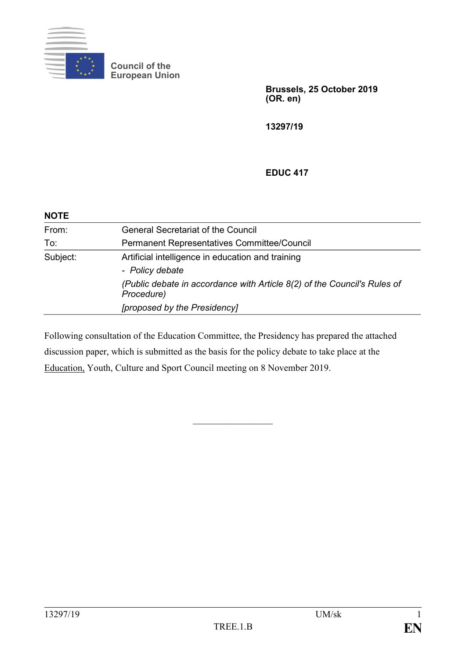

**Council of the European Union**

> **Brussels, 25 October 2019 (OR. en)**

**13297/19**

# **EDUC 417**

| <b>NOTE</b> |                                                                                        |
|-------------|----------------------------------------------------------------------------------------|
| From:       | <b>General Secretariat of the Council</b>                                              |
| To:         | Permanent Representatives Committee/Council                                            |
| Subject:    | Artificial intelligence in education and training<br>- Policy debate                   |
|             | (Public debate in accordance with Article 8(2) of the Council's Rules of<br>Procedure) |
|             | [proposed by the Presidency]                                                           |

Following consultation of the Education Committee, the Presidency has prepared the attached discussion paper, which is submitted as the basis for the policy debate to take place at the Education, Youth, Culture and Sport Council meeting on 8 November 2019.

 $\frac{1}{2}$  ,  $\frac{1}{2}$  ,  $\frac{1}{2}$  ,  $\frac{1}{2}$  ,  $\frac{1}{2}$  ,  $\frac{1}{2}$  ,  $\frac{1}{2}$  ,  $\frac{1}{2}$  ,  $\frac{1}{2}$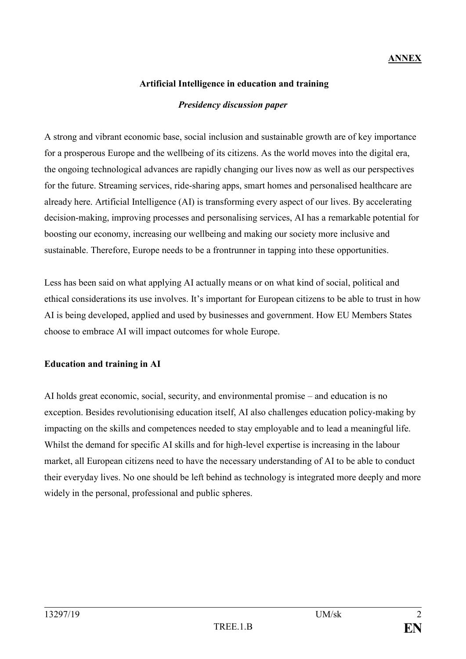# **ANNEX**

### **Artificial Intelligence in education and training**

#### *Presidency discussion paper*

A strong and vibrant economic base, social inclusion and sustainable growth are of key importance for a prosperous Europe and the wellbeing of its citizens. As the world moves into the digital era, the ongoing technological advances are rapidly changing our lives now as well as our perspectives for the future. Streaming services, ride-sharing apps, smart homes and personalised healthcare are already here. Artificial Intelligence (AI) is transforming every aspect of our lives. By accelerating decision-making, improving processes and personalising services, AI has a remarkable potential for boosting our economy, increasing our wellbeing and making our society more inclusive and sustainable. Therefore, Europe needs to be a frontrunner in tapping into these opportunities.

Less has been said on what applying AI actually means or on what kind of social, political and ethical considerations its use involves. It's important for European citizens to be able to trust in how AI is being developed, applied and used by businesses and government. How EU Members States choose to embrace AI will impact outcomes for whole Europe.

#### **Education and training in AI**

AI holds great economic, social, security, and environmental promise – and education is no exception. Besides revolutionising education itself, AI also challenges education policy-making by impacting on the skills and competences needed to stay employable and to lead a meaningful life. Whilst the demand for specific AI skills and for high-level expertise is increasing in the labour market, all European citizens need to have the necessary understanding of AI to be able to conduct their everyday lives. No one should be left behind as technology is integrated more deeply and more widely in the personal, professional and public spheres.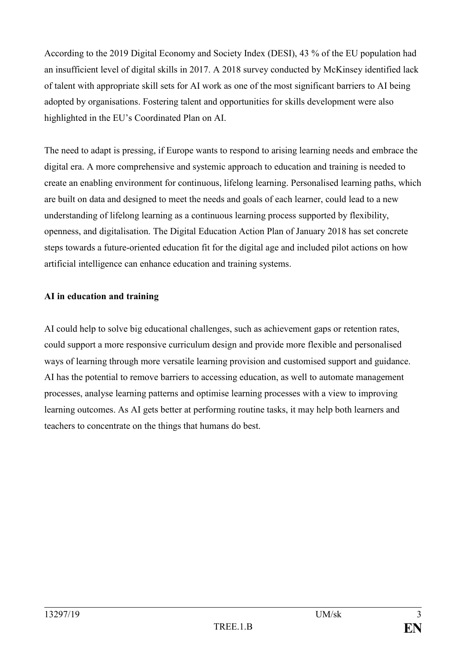According to the 2019 Digital Economy and Society Index (DESI), 43 % of the EU population had an insufficient level of digital skills in 2017. A 2018 survey conducted by McKinsey identified lack of talent with appropriate skill sets for AI work as one of the most significant barriers to AI being adopted by organisations. Fostering talent and opportunities for skills development were also highlighted in the EU's Coordinated Plan on AI.

The need to adapt is pressing, if Europe wants to respond to arising learning needs and embrace the digital era. A more comprehensive and systemic approach to education and training is needed to create an enabling environment for continuous, lifelong learning. Personalised learning paths, which are built on data and designed to meet the needs and goals of each learner, could lead to a new understanding of lifelong learning as a continuous learning process supported by flexibility, openness, and digitalisation. The Digital Education Action Plan of January 2018 has set concrete steps towards a future-oriented education fit for the digital age and included pilot actions on how artificial intelligence can enhance education and training systems.

### **AI in education and training**

AI could help to solve big educational challenges, such as achievement gaps or retention rates, could support a more responsive curriculum design and provide more flexible and personalised ways of learning through more versatile learning provision and customised support and guidance. AI has the potential to remove barriers to accessing education, as well to automate management processes, analyse learning patterns and optimise learning processes with a view to improving learning outcomes. As AI gets better at performing routine tasks, it may help both learners and teachers to concentrate on the things that humans do best.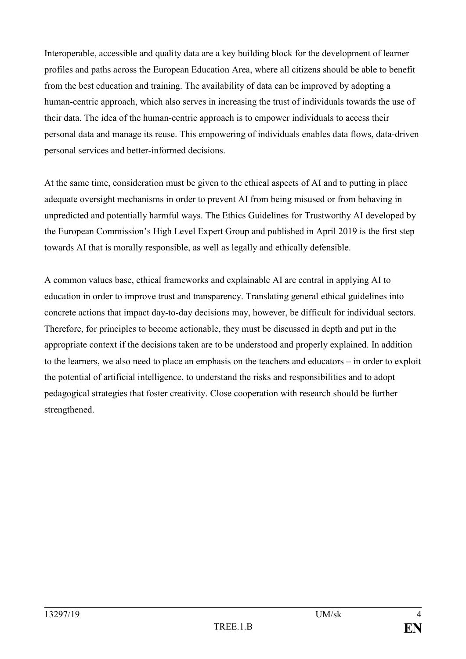Interoperable, accessible and quality data are a key building block for the development of learner profiles and paths across the European Education Area, where all citizens should be able to benefit from the best education and training. The availability of data can be improved by adopting a human-centric approach, which also serves in increasing the trust of individuals towards the use of their data. The idea of the human-centric approach is to empower individuals to access their personal data and manage its reuse. This empowering of individuals enables data flows, data-driven personal services and better-informed decisions.

At the same time, consideration must be given to the ethical aspects of AI and to putting in place adequate oversight mechanisms in order to prevent AI from being misused or from behaving in unpredicted and potentially harmful ways. The Ethics Guidelines for Trustworthy AI developed by the European Commission's High Level Expert Group and published in April 2019 is the first step towards AI that is morally responsible, as well as legally and ethically defensible.

A common values base, ethical frameworks and explainable AI are central in applying AI to education in order to improve trust and transparency. Translating general ethical guidelines into concrete actions that impact day-to-day decisions may, however, be difficult for individual sectors. Therefore, for principles to become actionable, they must be discussed in depth and put in the appropriate context if the decisions taken are to be understood and properly explained. In addition to the learners, we also need to place an emphasis on the teachers and educators – in order to exploit the potential of artificial intelligence, to understand the risks and responsibilities and to adopt pedagogical strategies that foster creativity. Close cooperation with research should be further strengthened.